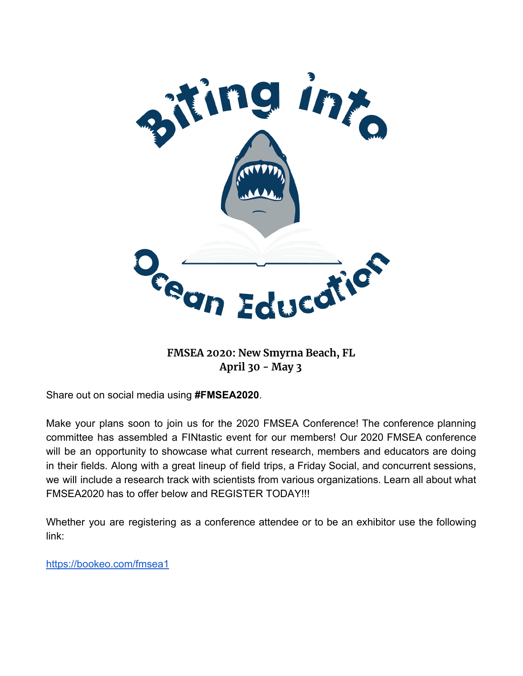

**FMSEA 2020: New Smyrna Beach, FL April 30 - May 3**

Share out on social media using **#FMSEA2020**.

Make your plans soon to join us for the 2020 FMSEA Conference! The conference planning committee has assembled a FINtastic event for our members! Our 2020 FMSEA conference will be an opportunity to showcase what current research, members and educators are doing in their fields. Along with a great lineup of field trips, a Friday Social, and concurrent sessions, we will include a research track with scientists from various organizations. Learn all about what FMSEA2020 has to offer below and REGISTER TODAY!!!

Whether you are registering as a conference attendee or to be an exhibitor use the following link:

<https://bookeo.com/fmsea1>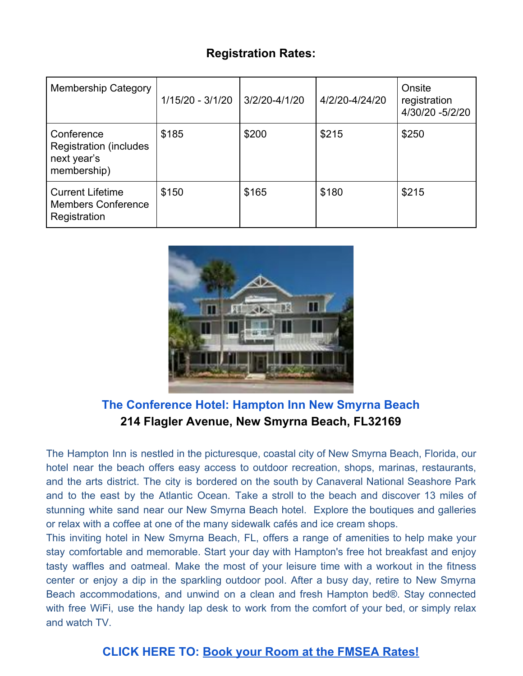# **Registration Rates:**

| <b>Membership Category</b>                                                 | 1/15/20 - 3/1/20 | 3/2/20-4/1/20 | 4/2/20-4/24/20 | Onsite<br>registration<br>4/30/20 -5/2/20 |
|----------------------------------------------------------------------------|------------------|---------------|----------------|-------------------------------------------|
| Conference<br><b>Registration (includes)</b><br>next year's<br>membership) | \$185            | \$200         | \$215          | \$250                                     |
| <b>Current Lifetime</b><br><b>Members Conference</b><br>Registration       | \$150            | \$165         | \$180          | \$215                                     |



# **The Conference Hotel: Hampton Inn New Smyrna Beach 214 Flagler Avenue, New Smyrna Beach, FL32169**

The Hampton Inn is nestled in the picturesque, coastal city of New Smyrna Beach, Florida, our hotel near the beach offers easy access to outdoor recreation, shops, marinas, restaurants, and the arts district. The city is bordered on the south by Canaveral National Seashore Park and to the east by the Atlantic Ocean. Take a stroll to the beach and discover 13 miles of stunning white sand near our New Smyrna Beach hotel. Explore the boutiques and galleries or relax with a coffee at one of the many sidewalk cafés and ice cream shops.

This inviting hotel in New Smyrna Beach, FL, offers a range of amenities to help make your stay comfortable and memorable. Start your day with Hampton's free hot breakfast and enjoy tasty waffles and oatmeal. Make the most of your leisure time with a workout in the fitness center or enjoy a dip in the sparkling outdoor pool. After a busy day, retire to New Smyrna Beach accommodations, and unwind on a clean and fresh Hampton bed®. Stay connected with free WiFi, use the handy lap desk to work from the comfort of your bed, or simply relax and watch TV.

### **CLICK HERE TO: Book your Room at the [FMSEA](https://hamptoninn.hilton.com/en/hp/groups/personalized/D/DABNSHX-FMS-20200430/index.jhtml?WT.mc_id=POG) Rates[!](https://hamptoninn.hilton.com/en/hp/groups/personalized/D/DABNSHX-FMS-20200430/index.jhtml?WT.mc_id=POG)**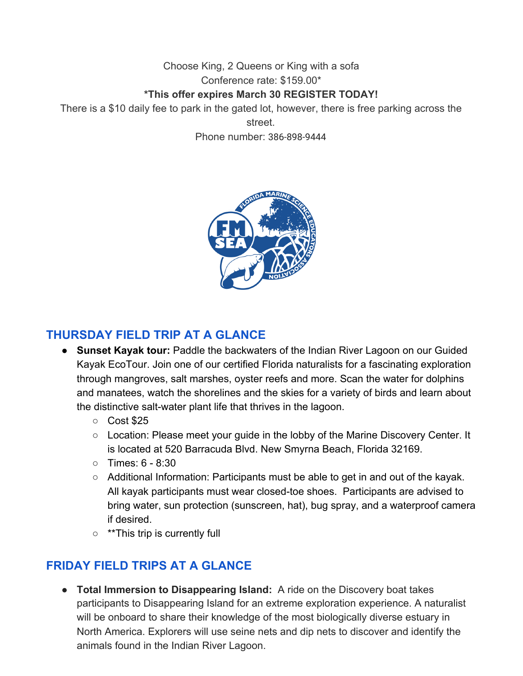Choose King, 2 Queens or King with a sofa Conference rate: \$159.00\*

#### **\*This offer expires March 30 REGISTER TODAY!**

There is a \$10 daily fee to park in the gated lot, however, there is free parking across the street.

Phone number: 386-898-9444



### **THURSDAY FIELD TRIP AT A GLANCE**

- **Sunset Kayak tour:** Paddle the backwaters of the Indian River Lagoon on our Guided Kayak EcoTour. Join one of our certified Florida naturalists for a fascinating exploration through mangroves, salt marshes, oyster reefs and more. Scan the water for dolphins and manatees, watch the shorelines and the skies for a variety of birds and learn about the distinctive salt-water plant life that thrives in the lagoon.
	- Cost \$25
	- Location: Please meet your guide in the lobby of the Marine Discovery Center. It is located at 520 Barracuda Blvd. New Smyrna Beach, Florida 32169.
	- $\circ$  Times: 6 8:30
	- Additional Information: Participants must be able to get in and out of the kayak. All kayak participants must wear closed-toe shoes. Participants are advised to bring water, sun protection (sunscreen, hat), bug spray, and a waterproof camera if desired.
	- \*\*This trip is currently full

# **FRIDAY FIELD TRIPS AT A GLANCE**

● **Total Immersion to Disappearing Island:** A ride on the Discovery boat takes participants to Disappearing Island for an extreme exploration experience. A naturalist will be onboard to share their knowledge of the most biologically diverse estuary in North America. Explorers will use seine nets and dip nets to discover and identify the animals found in the Indian River Lagoon.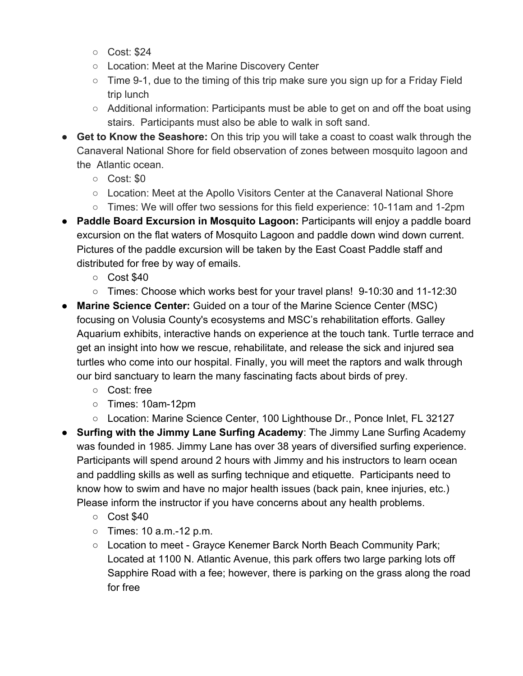- Cost: \$24
- Location: Meet at the Marine Discovery Center
- Time 9-1, due to the timing of this trip make sure you sign up for a Friday Field trip lunch
- Additional information: Participants must be able to get on and off the boat using stairs. Participants must also be able to walk in soft sand.
- **Get to Know the Seashore:** On this trip you will take a coast to coast walk through the Canaveral National Shore for field observation of zones between mosquito lagoon and the Atlantic ocean.
	- Cost: \$0
	- Location: Meet at the Apollo Visitors Center at the Canaveral National Shore
	- Times: We will offer two sessions for this field experience: 10-11am and 1-2pm
- **Paddle Board Excursion in Mosquito Lagoon:** Participants will enjoy a paddle board excursion on the flat waters of Mosquito Lagoon and paddle down wind down current. Pictures of the paddle excursion will be taken by the East Coast Paddle staff and distributed for free by way of emails.
	- Cost \$40
	- Times: Choose which works best for your travel plans! 9-10:30 and 11-12:30
- **Marine Science Center:** Guided on a tour of the Marine Science Center (MSC) focusing on Volusia County's ecosystems and MSC's rehabilitation efforts. Galley Aquarium exhibits, interactive hands on experience at the touch tank. Turtle terrace and get an insight into how we rescue, rehabilitate, and release the sick and injured sea turtles who come into our hospital. Finally, you will meet the raptors and walk through our bird sanctuary to learn the many fascinating facts about birds of prey.
	- Cost: free
	- Times: 10am-12pm
	- Location: Marine Science Center, 100 Lighthouse Dr., Ponce Inlet, FL 32127
- **Surfing with the Jimmy Lane Surfing Academy**: The Jimmy Lane Surfing Academy was founded in 1985. Jimmy Lane has over 38 years of diversified surfing experience. Participants will spend around 2 hours with Jimmy and his instructors to learn ocean and paddling skills as well as surfing technique and etiquette. Participants need to know how to swim and have no major health issues (back pain, knee injuries, etc.) Please inform the instructor if you have concerns about any health problems.
	- Cost \$40
	- $\circ$  Times: 10 a.m.-12 p.m.
	- Location to meet Grayce Kenemer Barck North Beach Community Park; Located at 1100 N. Atlantic Avenue, this park offers two large parking lots off Sapphire Road with a fee; however, there is parking on the grass along the road for free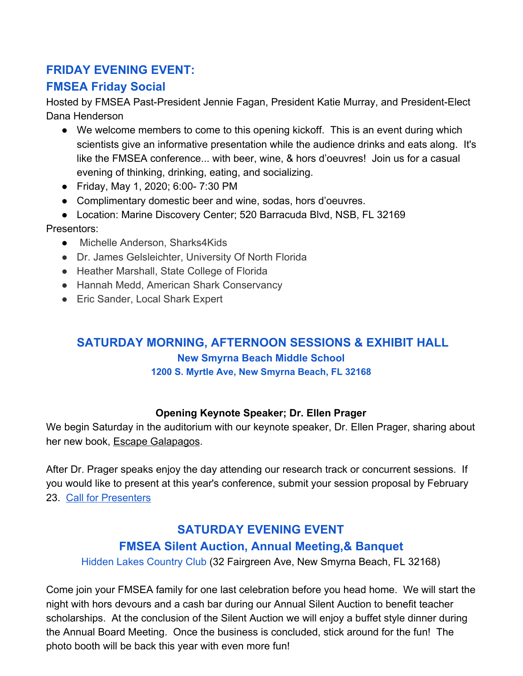# **FRIDAY EVENING EVENT:**

# **FMSEA Friday Social**

Hosted by FMSEA Past-President Jennie Fagan, President Katie Murray, and President-Elect Dana Henderson

- We welcome members to come to this opening kickoff. This is an event during which scientists give an informative presentation while the audience drinks and eats along. It's like the FMSEA conference... with beer, wine, & hors d'oeuvres! Join us for a casual evening of thinking, drinking, eating, and socializing.
- Friday, May 1, 2020; 6:00- 7:30 PM
- Complimentary domestic beer and wine, sodas, hors d'oeuvres.
- Location: Marine Discovery Center; 520 Barracuda Blvd, NSB, FL 32169

### Presentors:

- Michelle Anderson, Sharks4Kids
- Dr. James Gelsleichter, University Of North Florida
- Heather Marshall, State College of Florida
- Hannah Medd, American Shark Conservancy
- Eric Sander, Local Shark Expert

### **SATURDAY MORNING, AFTERNOON SESSIONS & EXHIBIT HALL New Smyrna Beach Middle School 1200 S. Myrtle Ave, New Smyrna Beach, FL 32168**

#### **Opening Keynote Speaker; Dr. Ellen Prager**

We begin Saturday in the auditorium with our keynote speaker, Dr. Ellen Prager, sharing about her new book, Escape Galapagos.

After Dr. Prager speaks enjoy the day attending our research track or concurrent sessions. If you would like to present at this year's conference, submit your session proposal by February 23. [Call for Presenters](https://docs.google.com/forms/d/e/1FAIpQLSde4dlZU-U1kI3aVfEcyo8pTpVmnYPbHignKAMKddTkIVufTg/viewform)

# **SATURDAY EVENING EVENT FMSEA Silent Auction, Annual Meeting,& Banquet**

Hidden Lakes Country Club (32 Fairgreen Ave, New Smyrna Beach, FL 32168)

Come join your FMSEA family for one last celebration before you head home. We will start the night with hors devours and a cash bar during our Annual Silent Auction to benefit teacher scholarships. At the conclusion of the Silent Auction we will enjoy a buffet style dinner during the Annual Board Meeting. Once the business is concluded, stick around for the fun! The photo booth will be back this year with even more fun!